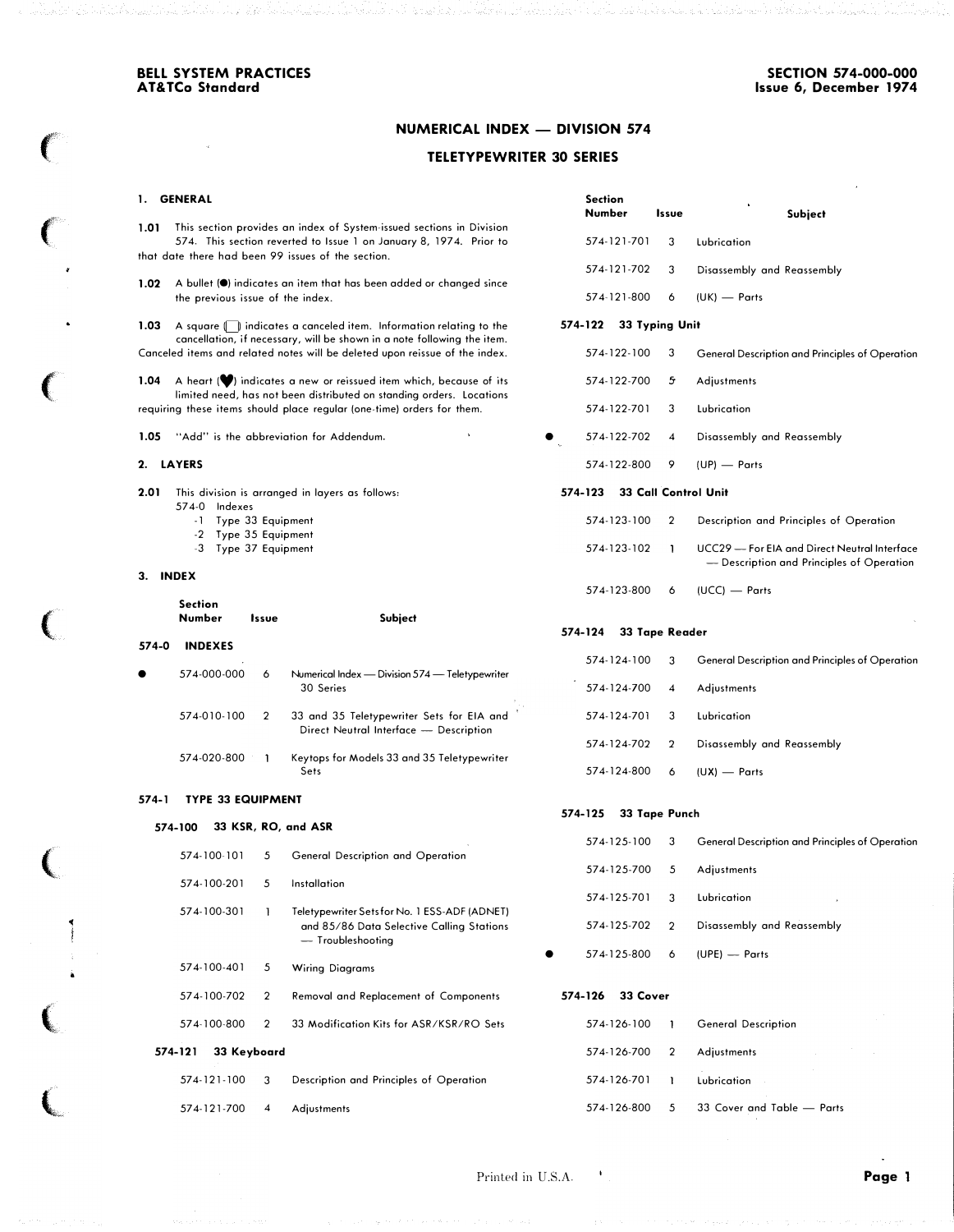Issue Subject

574-122-100 3 General Description and Principles of Operation

Description and Principles of Operation UCC29-For EIA and Direct Neutral Interface - Description and Principles of Operation

574-121-702 3 Disassembly and Reassembly

57 4-122-702 4 Disassembly and Reassembly

 $(UCC)$  - Parts

## NUMERICAL INDEX - DIVISION 574

## TELETYPEWRITER 30 SERIES

Section<br>Number

574-122 33 Typing Unit

574-121-701 3 Lubrication

574-121-800 6 (UK) - Parts

574-122-700 5' Adjustments 574-122-701 3 Lubrication

574-122-800 9 (UP) - Parts

 $\blacksquare$ 

 $574 - 124 - 800$  6 (UX) - Parts

574-123 33 Call Control Unit 574-123-100 2 57 4-123-102

57 4-123-800 6

574-125 33 Tape Punch

•

## 1. GENERAL

 $\big($ 

 $\big($ 

 $\big($ 

 $\big($ 

(

 $\big($ 

 $\overline{\mathbb{C}}$ 

� I 1.01 This section provides an index of System-issued sections in Division 57 4. This section reverted to Issue 1 on January 8, 197 4. Prior to that date there had been 99 issues of the section.

1.02 A bullet ( $\bullet$ ) indicates an item that has been added or changed since the previous issue of the index.

1.03 A square (C) indicates a canceled item. Information relating to the cancellation, if necessary, will be shown in a note following the item. Canceled items and related notes will be deleted upon reissue of the index.

1.04 A heart  $(\blacklozenge)$  indicates a new or reissued item which, because of its limited need, has not been distributed on standing orders. Locations requiring these items should place regular (one-time) orders for them.

1.05 "Add" is the abbreviation for Addendum.

## 2. LAYERS

2.01 This division is arranged in layers as follows: 57 4-0 Indexes

- -1 Type 33 Equipment
- -2 Type 35 Equipment
- -3 Type 37 Equipment

### 3. INDEX

|           | Section<br>Number | <i>Issue</i>  | Subject                                                                             | 574-124 | 33 Tape Reader |   |                                                        |  |
|-----------|-------------------|---------------|-------------------------------------------------------------------------------------|---------|----------------|---|--------------------------------------------------------|--|
| 574-0     | <b>INDEXES</b>    |               |                                                                                     |         |                |   |                                                        |  |
| $\bullet$ | 574-000-000       | 6             | Numerical Index — Division 574 — Teletypewriter                                     |         | 574-124-100    | 3 | <b>General Description and Principles of Operation</b> |  |
|           |                   |               | 30 Series                                                                           |         | 574-124-700    |   | Adiustments                                            |  |
|           | 574-010-100       | $\mathcal{P}$ | 33 and 35 Teletypewriter Sets for EIA and<br>Direct Neutral Interface - Description |         | 574-124-701    |   | Lubrication                                            |  |
|           |                   |               |                                                                                     |         | 574-124-702    |   | Disassembly and Reassembly                             |  |
|           | 574-020-800       |               | Keytops for Models 33 and 35 Teletypewriter                                         |         |                |   |                                                        |  |

### 574-1 TYPE 33 EQUIPMENT

### 574-100 33 KSR, RO, and ASR

Sets

|             |             |                                                                | 574-125-100              | 3              | General Description and Principles of Operation |
|-------------|-------------|----------------------------------------------------------------|--------------------------|----------------|-------------------------------------------------|
| 574-100-101 | 5           | General Description and Operation                              |                          |                |                                                 |
|             |             |                                                                | 574-125-700              | 5              | Adjustments                                     |
| 574-100-201 | 5.          | Installation                                                   |                          |                |                                                 |
|             |             |                                                                | 574-125-701              | 3              | Lubrication                                     |
| 574-100-301 |             | Teletypewriter Sets for No. 1 ESS-ADF (ADNET)                  |                          |                |                                                 |
|             |             | and 85/86 Data Selective Calling Stations<br>- Troubleshooting | 574-125-702              | $\overline{2}$ | Disassembly and Reassembly                      |
|             |             |                                                                | 574-125-800<br>$\bullet$ | 6              | (UPE) — Parts                                   |
| 574-100-401 | 5.          | <b>Wiring Diagrams</b>                                         |                          |                |                                                 |
| 574-100-702 | 2           | Removal and Replacement of Components                          | 33 Cover<br>574-126      |                |                                                 |
| 574-100-800 | 2           | 33 Modification Kits for ASR/KSR/RO Sets                       | 574-126-100              |                | <b>General Description</b>                      |
| 574-121     | 33 Keyboard |                                                                | 574-126-700              | $\overline{2}$ | Adjustments                                     |
| 574-121-100 | 3           | Description and Principles of Operation                        | 574-126-701              |                | Lubrication                                     |
| 574-121-700 | 4           | Adjustments                                                    | 574-126-800              | 5              | 33 Cover and Table - Parts                      |

Printed in U.S.A. Printed in U.S.A. Page 1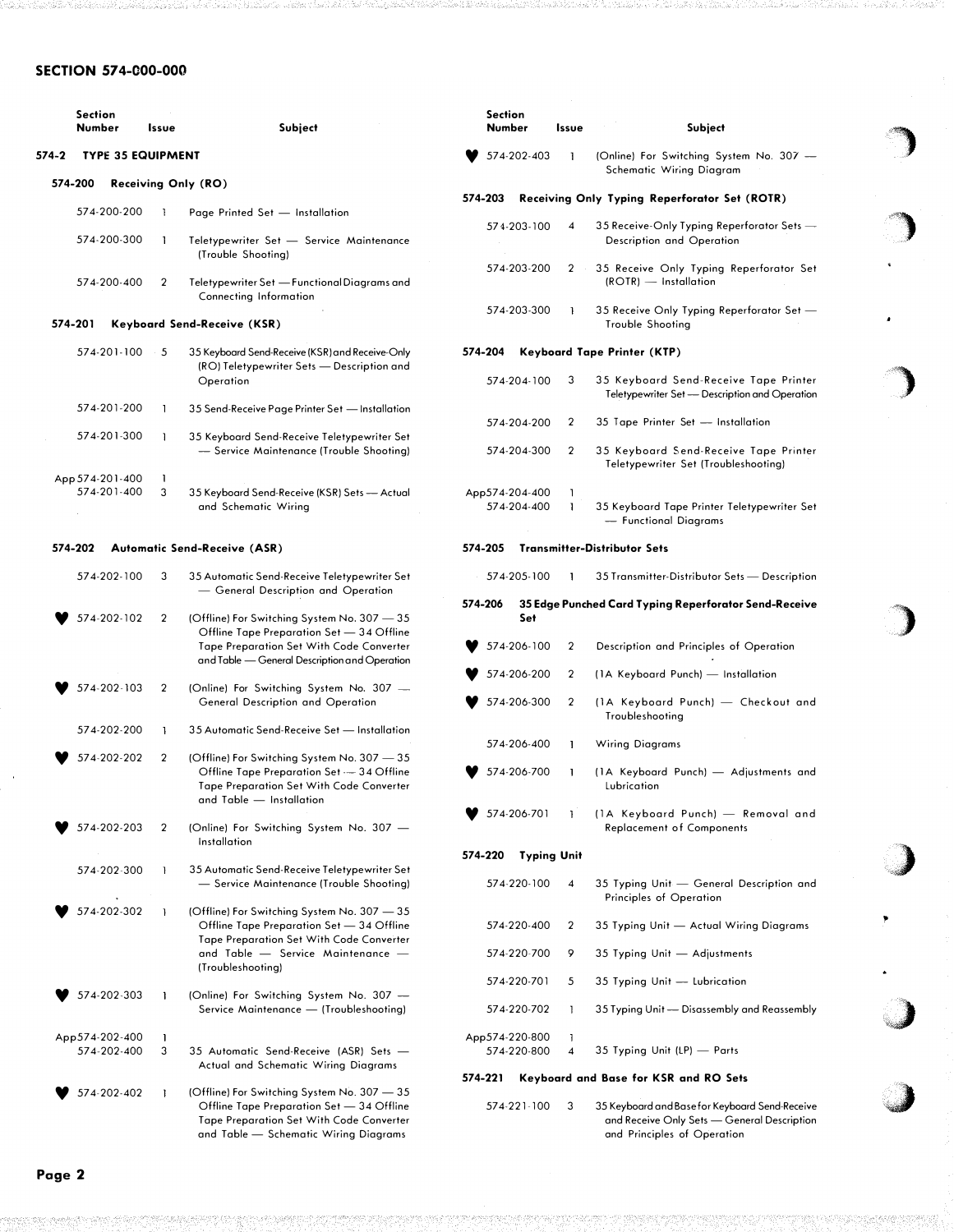## SECTION 574-000-000

| <b>Section</b><br>Number |                          | Issue     | Subject                                                                                                                                                                              | Section<br>Number      |
|--------------------------|--------------------------|-----------|--------------------------------------------------------------------------------------------------------------------------------------------------------------------------------------|------------------------|
| 574-2                    | <b>TYPE 35 EQUIPMENT</b> |           |                                                                                                                                                                                      | 574-202                |
|                          | 574-200                  |           | <b>Receiving Only (RO)</b>                                                                                                                                                           |                        |
|                          | 574-200-200              | 1         | Page Printed Set - Installation                                                                                                                                                      | 574-203<br>R.          |
|                          | 574-200-300              | 1         | Teletypewriter Set - Service Maintenance<br>(Trouble Shooting)                                                                                                                       | 574-203                |
|                          | 574-200-400              | 2         | Teletypewriter Set - Functional Diagrams and<br>Connecting Information                                                                                                               | 574-203                |
|                          | 574-201                  |           | <b>Keyboard Send-Receive (KSR)</b>                                                                                                                                                   | 574-203                |
|                          | 574-201-100              | $\cdot$ 5 | 35 Keyboard Send-Receive (KSR) and Receive-Only                                                                                                                                      | 574-204<br>K.          |
|                          |                          |           | (RO) Teletypewriter Sets - Description and<br>Operation                                                                                                                              | 574-204                |
|                          | 574-201-200              | 1         | 35 Send-Receive Page Printer Set - Installation                                                                                                                                      |                        |
|                          |                          |           |                                                                                                                                                                                      | 574-204                |
|                          | 574-201-300              | 1         | 35 Keyboard Send-Receive Teletypewriter Set<br>- Service Maintenance (Trouble Shooting)                                                                                              | 574-204                |
|                          | App 574-201-400          | 1         |                                                                                                                                                                                      |                        |
|                          | 574-201-400              | 3         | 35 Keyboard Send-Receive (KSR) Sets — Actual<br>and Schematic Wiring                                                                                                                 | App 574-204<br>574-204 |
|                          | 574-202                  |           | <b>Automatic Send-Receive (ASR)</b>                                                                                                                                                  | 574-205<br>Tr          |
|                          | 574-202-100              | 3         | 35 Automatic Send-Receive Teletypewriter Set<br>— General Description and Operation                                                                                                  | 574-205                |
|                          | 574-202-102              | 2         | (Offline) For Switching System No. 307 - 35                                                                                                                                          | 574-206<br>35<br>Sι    |
|                          |                          |           | Offline Tape Preparation Set - 34 Offline<br><b>Tape Preparation Set With Code Converter</b><br>and Table - General Description and Operation                                        | 574-206<br>574-206     |
|                          | 574-202-103              | 2         | (Online) For Switching System No. 307 -<br>General Description and Operation                                                                                                         | 574-206                |
|                          | 574-202-200              | 1         | 35 Automatic Send-Receive Set — Installation                                                                                                                                         | 574-206                |
|                          | 574-202-202              | 2         | (Offline) For Switching System No. 307 - 35                                                                                                                                          |                        |
|                          |                          |           | Offline Tape Preparation Set — 34 Offline<br><b>Tape Preparation Set With Code Converter</b><br>and Table — Installation                                                             | 574-206                |
|                          | 574-202-203              | 2         | (Online) For Switching System No. 307 -                                                                                                                                              | 574-206                |
|                          |                          |           | Installation                                                                                                                                                                         |                        |
|                          |                          | 1         |                                                                                                                                                                                      | 574-220<br>Т١          |
|                          | 574-202-300              |           | 35 Automatic Send-Receive Teletypewriter Set<br>- Service Maintenance (Trouble Shooting)                                                                                             | 574-220                |
|                          | 574-202-302              | 1         | (Offline) For Switching System No. 307 - 35<br>Offline Tape Preparation Set - 34 Offline<br>Tape Preparation Set With Code Converter                                                 | 574-220                |
|                          |                          |           | and Table - Service Maintenance -<br>(Troubleshooting)                                                                                                                               | 574-220                |
|                          |                          |           |                                                                                                                                                                                      | 574-220                |
|                          | 574-202-303              | 1         | (Online) For Switching System No. 307 -<br>Service Maintenance - (Troubleshooting)                                                                                                   | 574-220                |
|                          | App574-202-400           | ı         |                                                                                                                                                                                      | App 574-220            |
|                          | 574-202-400              | 3         | 35 Automatic Send-Receive (ASR) Sets -                                                                                                                                               | 574-220                |
|                          |                          |           | Actual and Schematic Wiring Diagrams                                                                                                                                                 | 574-221<br>K.          |
|                          | 574-202-402              | 1         | (Offline) For Switching System No. 307 - 35<br>Offline Tape Preparation Set - 34 Offline<br><b>Tape Preparation Set With Code Converter</b><br>and Table - Schematic Wiring Diagrams | 574-221                |

| Number         |                    | Issue  | Subject                                                                                 |
|----------------|--------------------|--------|-----------------------------------------------------------------------------------------|
|                | 574-202-403        | 1      | (Online) For Switching System No. 307 -<br>Schematic Wiring Diagram                     |
| 574-203        |                    |        | Receiving Only Typing Reperforator Set (ROTR)                                           |
|                | 574-203-100        | 4      | 35 Receive-Only Typing Reperforator Sets —<br>Description and Operation                 |
|                | 574-203-200        | 2      | 35 Receive Only Typing Reperforator Set<br>(ROTR) - Installation                        |
|                | 574-203-300        | 1      | 35 Receive Only Typing Reperforator Set -<br>Trouble Shooting                           |
| 574-204        |                    |        | Keyboard Tape Printer (KTP)                                                             |
|                | 574-204-100        | 3      | 35 Keyboard Send-Receive Tape Printer<br>Teletypewriter Set - Description and Operation |
|                | 574-204-200        | 2      | 35 Tape Printer Set - Installation                                                      |
|                | 574-204-300        | 2      | 35 Keyboard Send-Receive Tape Printer<br>Teletypewriter Set (Troubleshooting)           |
| App574-204-400 | 574-204-400        | 1<br>1 | 35 Keyboard Tape Printer Teletypewriter Set<br>- Functional Diagrams                    |
| 574-205        |                    |        | <b>Transmitter-Distributor Sets</b>                                                     |
|                | 574-205-100        | ı      | 35 Transmitter-Distributor Sets — Description                                           |
|                |                    |        |                                                                                         |
| 574-206        | Set                |        | 35 Edge Punched Card Typing Reperforator Send-Receive                                   |
|                | 574-206-100        | 2      | Description and Principles of Operation                                                 |
|                | 574-206-200        | 2      | (1A Keyboard Punch) - Installation                                                      |
|                | 574-206-300        | 2      | (1A Keyboard Punch) - Checkout and<br>Troubleshooting                                   |
|                | 574-206-400        | 1      | Wiring Diagrams                                                                         |
|                | 574-206-700        | 1      | (1A Keyboard Punch) - Adjustments and<br>Lubrication                                    |
|                | 574-206-701        | 1      | (1A Keyboard Punch) - Removal and<br><b>Replacement of Components</b>                   |
| 574-220        | <b>Typing Unit</b> |        |                                                                                         |
|                | 574-220-100        | 4      | 35 Typing Unit - General Description and<br>Principles of Operation                     |
|                | 574-220-400        | 2      | 35 Typing Unit — Actual Wiring Diagrams                                                 |
|                | 574-220-700        | 9      | 35 Typing Unit - Adjustments                                                            |
|                | 574-220-701        | 5      | 35 Typing Unit - Lubrication                                                            |
|                | 574-220-702        | 1      | 35 Typing Unit - Disassembly and Reassembly                                             |

)

 $\bigcap$ 

)

�)

)

j

"

574-221 Keyboard and Base for KSR and RO Sets

574-221-100 3 35 Keyboard and Base for Keyboard Send-Receive and Receive Only Sets-General Description ond Principles of Operation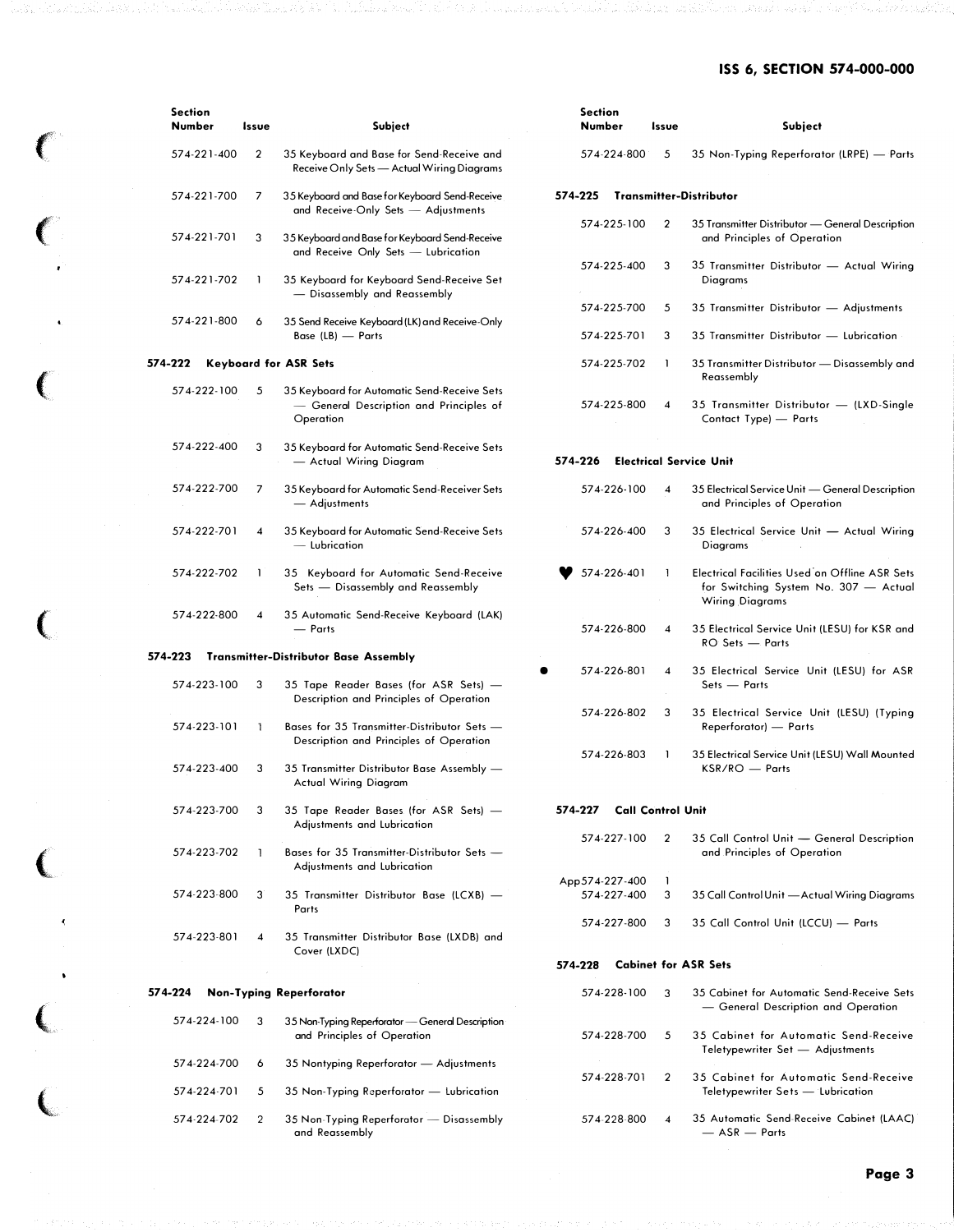# ISS 6, SECTION 574-000-000

| <b>Section</b><br><b>Number</b> | Issue                   | <b>Subject</b>                                                                                      |         | <b>Section</b><br>Number   | Issue                    |                         | Subject                                                                                                           |
|---------------------------------|-------------------------|-----------------------------------------------------------------------------------------------------|---------|----------------------------|--------------------------|-------------------------|-------------------------------------------------------------------------------------------------------------------|
| 574-221-400                     | $\overline{2}$          | 35 Keyboard and Base for Send-Receive and<br>Receive Only Sets - Actual Wiring Diagrams             |         | 574-224-800                |                          | 5                       | 35 Non-Typing Reperforator (LRPE) - Parts                                                                         |
| 574-221-700                     | 7                       | 35 Keyboard and Base for Keyboard Send-Receive<br>and Receive-Only Sets - Adjustments               | 574-225 |                            |                          |                         | <b>Transmitter-Distributor</b>                                                                                    |
| 574-221-701                     | 3                       | 35 Keyboard and Base for Keyboard Send-Receive                                                      |         | 574-225-100                |                          | $\overline{2}$          | 35 Transmitter Distributor - General Description<br>and Principles of Operation                                   |
| 574-221-702                     | -1                      | and Receive Only Sets - Lubrication<br>35 Keyboard for Keyboard Send-Receive Set                    |         | 574-225-400                |                          | 3                       | 35 Transmitter Distributor - Actual Wiring<br>Diagrams                                                            |
|                                 |                         | - Disassembly and Reassembly                                                                        |         | 574-225-700                |                          | 5                       | 35 Transmitter Distributor - Adjustments                                                                          |
| 574-221-800                     | 6                       | 35 Send Receive Keyboard (LK) and Receive-Only<br>Base (LB) - Parts                                 |         | 574-225-701                |                          | 3                       | 35 Transmitter Distributor - Lubrication                                                                          |
| 574-222                         |                         | <b>Keyboard for ASR Sets</b>                                                                        |         | 574-225-702                |                          | 1                       | 35 Transmitter Distributor - Disassembly and<br>Reassembly                                                        |
| 574-222-100                     | 5                       | 35 Keyboard for Automatic Send-Receive Sets<br>— General Description and Principles of<br>Operation |         | 574-225-800                |                          | 4                       | 35 Transmitter Distributor - (LXD-Single<br>Contact Type) - Parts                                                 |
| 574-222-400                     | 3                       | 35 Keyboard for Automatic Send-Receive Sets<br>- Actual Wiring Diagram                              | 574-226 |                            |                          |                         | <b>Electrical Service Unit</b>                                                                                    |
| 574-222-700                     | 7                       | 35 Keyboard for Automatic Send-Receiver Sets<br>— Adjustments                                       |         | 574-226-100                |                          | 4                       | 35 Electrical Service Unit - General Description<br>and Principles of Operation                                   |
| 574-222-701                     | 4                       | 35 Keyboard for Automatic Send-Receive Sets<br>- Lubrication                                        |         | 574-226-400                |                          | 3                       | 35 Electrical Service Unit - Actual Wiring<br><b>Diagrams</b>                                                     |
| 574-222-702                     | 1                       | 35 Keyboard for Automatic Send-Receive<br>Sets - Disassembly and Reassembly                         |         | 574-226-401                |                          | -1                      | Electrical Facilities Used on Offline ASR Sets<br>for Switching System No. 307 - Actual<br><b>Wiring Diagrams</b> |
| 574-222-800                     | $\overline{\mathbf{4}}$ | 35 Automatic Send-Receive Keyboard (LAK)<br>— Parts                                                 |         | 574-226-800                |                          | $\overline{\mathbf{4}}$ | 35 Electrical Service Unit (LESU) for KSR and<br>RO Sets - Parts                                                  |
| 574-223                         |                         | <b>Transmitter-Distributor Base Assembly</b>                                                        |         | 574-226-801                |                          | 4                       | 35 Electrical Service Unit (LESU) for ASR                                                                         |
| 574-223-100                     | 3                       | 35 Tape Reader Bases (for ASR Sets) -<br>Description and Principles of Operation                    |         |                            |                          |                         | Sets - Parts                                                                                                      |
| 574-223-101                     | T                       | Bases for 35 Transmitter-Distributor Sets -<br>Description and Principles of Operation              |         | 574-226-802                |                          | 3                       | 35 Electrical Service Unit (LESU) (Typing<br>Reperforator) - Parts                                                |
| 574-223-400                     | 3                       | 35 Transmitter Distributor Base Assembly -<br><b>Actual Wiring Diagram</b>                          |         | 574-226-803                |                          | 1                       | 35 Electrical Service Unit (LESU) Wall Mounted<br>$KSR/RO$ - Parts                                                |
| 574-223-700                     | 3                       | 35 Tape Reader Bases (for ASR Sets) -<br>Adjustments and Lubrication                                | 574-227 |                            | <b>Call Control Unit</b> |                         |                                                                                                                   |
| 574-223-702                     | ı                       | Bases for 35 Transmitter-Distributor Sets -<br>Adjustments and Lubrication                          |         | 574-227-100                |                          | 2                       | 35 Call Control Unit - General Description<br>and Principles of Operation                                         |
| 574-223-800                     |                         |                                                                                                     |         | App 574-227-400            |                          | 1                       |                                                                                                                   |
|                                 | 3                       | 35 Transmitter Distributor Base (LCXB) -<br>Parts                                                   |         | 574-227-400<br>574-227-800 |                          | 3<br>3                  | 35 Call Control Unit — Actual Wiring Diagrams<br>35 Call Control Unit (LCCU) - Parts                              |
| 574-223-801                     | 4                       | 35 Transmitter Distributor Base (LXDB) and<br>Cover (LXDC)                                          |         |                            |                          |                         |                                                                                                                   |
|                                 |                         |                                                                                                     | 574-228 |                            |                          |                         | <b>Cabinet for ASR Sets</b>                                                                                       |
| 574-224                         |                         | <b>Non-Typing Reperforator</b>                                                                      |         | 574-228-100                |                          | 3                       | 35 Cabinet for Automatic Send-Receive Sets<br>- General Description and Operation                                 |
| 574-224-100                     | 3                       | 35 Non-Typing Reperforator — General Description<br>and Principles of Operation                     |         | 574-228-700                |                          | 5                       | 35 Cabinet for Automatic Send-Receive<br>Teletypewriter Set - Adjustments                                         |
| 574-224-700                     | 6                       | 35 Nontyping Reperforator — Adjustments                                                             |         |                            |                          |                         |                                                                                                                   |
| 574-224-701                     | 5                       | 35 Non-Typing Reperforator — Lubrication                                                            |         | 574-228-701                |                          | 2                       | 35 Cabinet for Automatic Send-Receive<br>Teletypewriter Sets - Lubrication                                        |
| 574-224-702                     | 2                       | 35 Non-Typing Reperforator - Disassembly<br>and Reassembly                                          |         | 574-228-800                |                          | 4                       | 35 Automatic Send-Receive Cabinet (LAAC)<br>— ASR — Parts                                                         |

 $\left($ 

 $\overline{C}$ 

 $\big($ 

 $\epsilon$ 

 $\big($ 

 $\ell$ 

 $\big($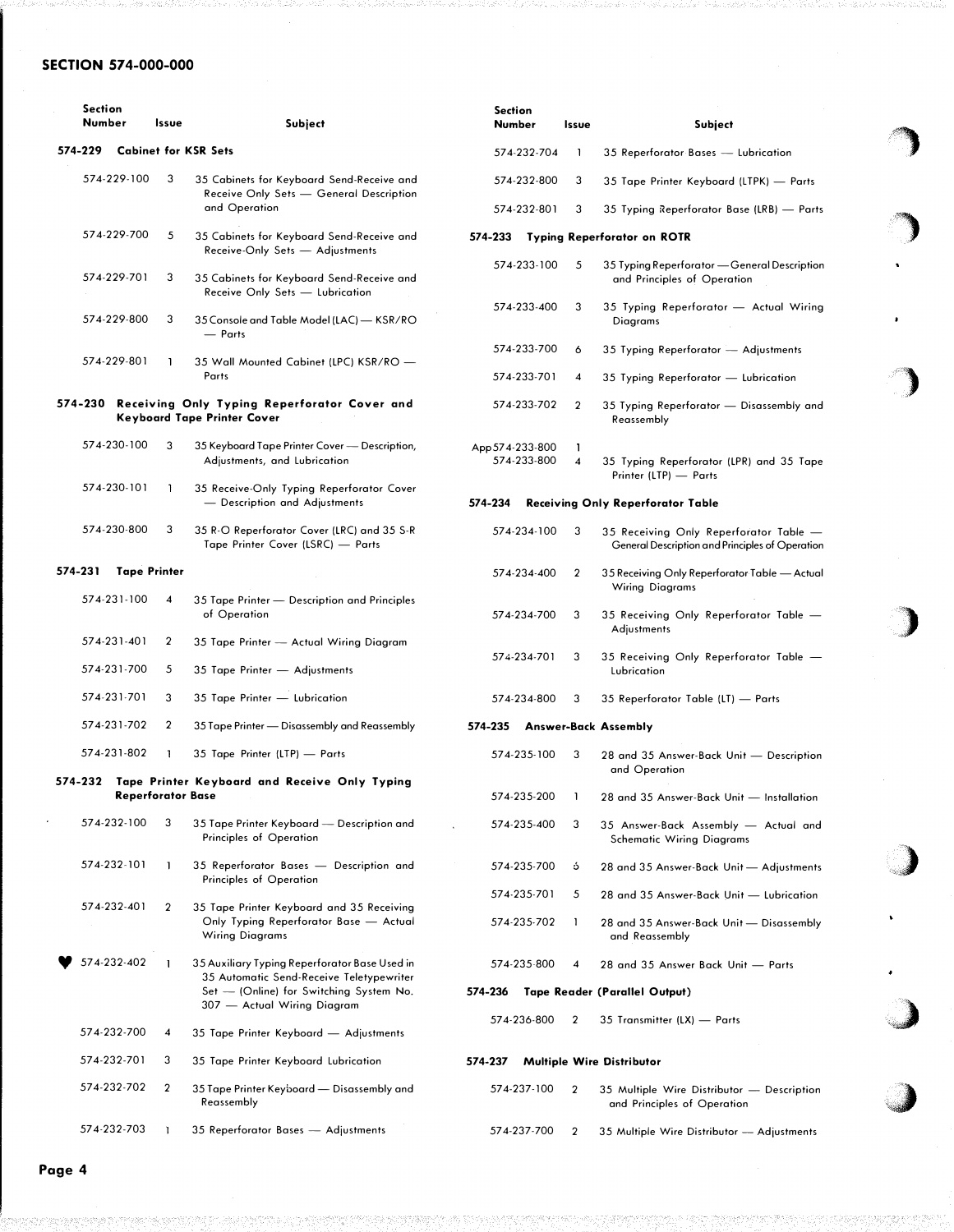## SECTION 574-000-000

|         | <b>Section</b><br>Number | Issue                    | Subject                                                                                    | <b>Section</b><br>Number |             | Issue                | Subject                                                                                   |
|---------|--------------------------|--------------------------|--------------------------------------------------------------------------------------------|--------------------------|-------------|----------------------|-------------------------------------------------------------------------------------------|
| 574-229 |                          |                          | <b>Cabinet for KSR Sets</b>                                                                |                          | 574-232-704 | -1                   | 35 Reperforator Bases — Lubrication                                                       |
|         | 574-229-100              | 3                        | 35 Cabinets for Keyboard Send-Receive and<br>Receive Only Sets - General Description       |                          | 574-232-800 | 3                    | 35 Tape Printer Keyboard (LTPK) — Parts                                                   |
|         |                          |                          | and Operation                                                                              |                          | 574-232-801 | 3                    | 35 Typing Reperforator Base (LRB) - Parts                                                 |
|         | 574-229-700              | 5                        | 35 Cabinets for Keyboard Send-Receive and<br>Receive-Only Sets - Adjustments               | 574-233                  |             |                      | <b>Typing Reperforator on ROTR</b>                                                        |
|         | 574-229-701              | 3                        | 35 Cabinets for Keyboard Send-Receive and<br>Receive Only Sets - Lubrication               |                          | 574-233-100 | 5                    | 35 Typing Reperforator - General Description<br>and Principles of Operation               |
|         | 574-229-800              | 3                        | 35 Console and Table Model (LAC) - KSR/RO<br>- Parts                                       |                          | 574-233-400 | 3                    | 35 Typing Reperforator - Actual Wiring<br>Diagrams                                        |
|         | 574-229-801              | 1                        | 35 Wall Mounted Cabinet (LPC) KSR/RO -                                                     |                          | 574-233-700 | 6                    | 35 Typing Reperforator - Adjustments                                                      |
|         |                          |                          | Parts                                                                                      |                          | 574-233-701 | 4                    | 35 Typing Reperforator — Lubrication                                                      |
|         |                          |                          | 574-230 Receiving Only Typing Reperforator Cover and<br><b>Keyboard Tape Printer Cover</b> |                          | 574-233-702 | $\overline{2}$       | 35 Typing Reperforator — Disassembly and<br>Reassembly                                    |
|         | 574-230-100              | 3                        | 35 Keyboard Tape Printer Cover — Description,<br>Adjustments, and Lubrication              | App 574-233-800          | 574-233-800 | Т.<br>$\overline{4}$ | 35 Typing Reperforator (LPR) and 35 Tape<br>Printer (LTP) - Parts                         |
|         | 574-230-101              | -1                       | 35 Receive-Only Typing Reperforator Cover<br>- Description and Adjustments                 | 574-234                  |             |                      | <b>Receiving Only Reperforator Table</b>                                                  |
|         | 574-230-800              | 3                        | 35 R-O Reperforator Cover (LRC) and 35 S-R<br>Tape Printer Cover (LSRC) - Parts            |                          | 574-234-100 | 3                    | 35 Receiving Only Reperforator Table -<br>General Description and Principles of Operation |
| 574-231 |                          | <b>Tape Printer</b>      |                                                                                            |                          | 574-234-400 | 2                    | 35 Receiving Only Reperforator Table — Actual<br><b>Wiring Diagrams</b>                   |
|         | 574-231-100              | 4                        | 35 Tape Printer — Description and Principles<br>of Operation                               |                          | 574-234-700 | 3                    | 35 Receiving Only Reperforator Table -<br>Adjustments                                     |
|         | 574-231-401              | 2                        | 35 Tape Printer - Actual Wiring Diagram                                                    |                          | 574-234-701 | 3                    | 35 Receiving Only Reperforator Table -                                                    |
|         | 574-231-700              | 5                        | 35 Tape Printer - Adjustments                                                              |                          |             |                      | Lubrication                                                                               |
|         | 574-231-701              | 3                        | 35 Tape Printer - Lubrication                                                              |                          | 574-234-800 | 3                    | 35 Reperforator Table (LT) — Parts                                                        |
|         | 574-231-702              | 2                        | 35 Tape Printer — Disassembly and Reassembly                                               | 574-235                  |             |                      | <b>Answer-Back Assembly</b>                                                               |
| 574-232 | 574-231-802              | 1                        | 35 Tape Printer (LTP) - Parts<br>Tape Printer Keyboard and Receive Only Typing             |                          | 574-235-100 | 3                    | 28 and 35 Answer-Back Unit - Description<br>and Operation                                 |
|         |                          | <b>Reperforator Base</b> |                                                                                            |                          | 574-235-200 |                      | 28 and 35 Answer-Back Unit - Installation                                                 |
|         | 574-232-100              | 3                        | 35 Tape Printer Keyboard - Description and<br>Principles of Operation                      |                          | 574-235-400 | 3                    | 35 Answer-Back Assembly - Actual and<br><b>Schematic Wiring Diagrams</b>                  |
|         | 574-232-101              | 1                        | 35 Reperforator Bases - Description and<br>Principles of Operation                         |                          | 574-235-700 | ó                    | 28 and 35 Answer-Back Unit - Adjustments                                                  |
|         | 574-232-401              | 2                        | 35 Tape Printer Keyboard and 35 Receiving                                                  |                          | 574-235-701 | 5                    | 28 and 35 Answer-Back Unit - Lubrication                                                  |
|         |                          |                          | Only Typing Reperforator Base — Actual<br><b>Wiring Diagrams</b>                           |                          | 574-235-702 | -1                   | 28 and 35 Answer-Back Unit - Disassembly<br>and Reassembly                                |
|         | 574-232-402              | 1                        | 35 Auxiliary Typing Reperforator Base Used in<br>35 Automatic Send-Receive Teletypewriter  |                          | 574-235-800 | 4                    | 28 and 35 Answer Back Unit - Parts                                                        |
|         |                          |                          | Set - (Online) for Switching System No.<br>307 — Actual Wiring Diagram                     | 574-236                  |             | 2                    | <b>Tape Reader (Parallel Output)</b>                                                      |
|         | 574-232-700              | 4                        | 35 Tape Printer Keyboard — Adjustments                                                     |                          | 574-236-800 |                      | 35 Transmitter (LX) - Parts                                                               |
|         | 574-232-701              | 3                        | 35 Tape Printer Keyboard Lubrication                                                       | 574-237                  |             |                      | Multiple Wire Distributor                                                                 |
|         | 574-232-702              | 2                        | 35 Tape Printer Keyboard — Disassembly and<br>Reassembly                                   |                          | 574-237-100 | $\mathbf 2$          | 35 Multiple Wire Distributor - Description<br>and Principles of Operation                 |
|         | 574-232-703              | -1                       | 35 Reperforator Bases - Adjustments                                                        |                          | 574-237-700 | $\mathbf 2$          | 35 Multiple Wire Distributor - Adjustments                                                |

<')

�)

")

)

)

 $\bullet$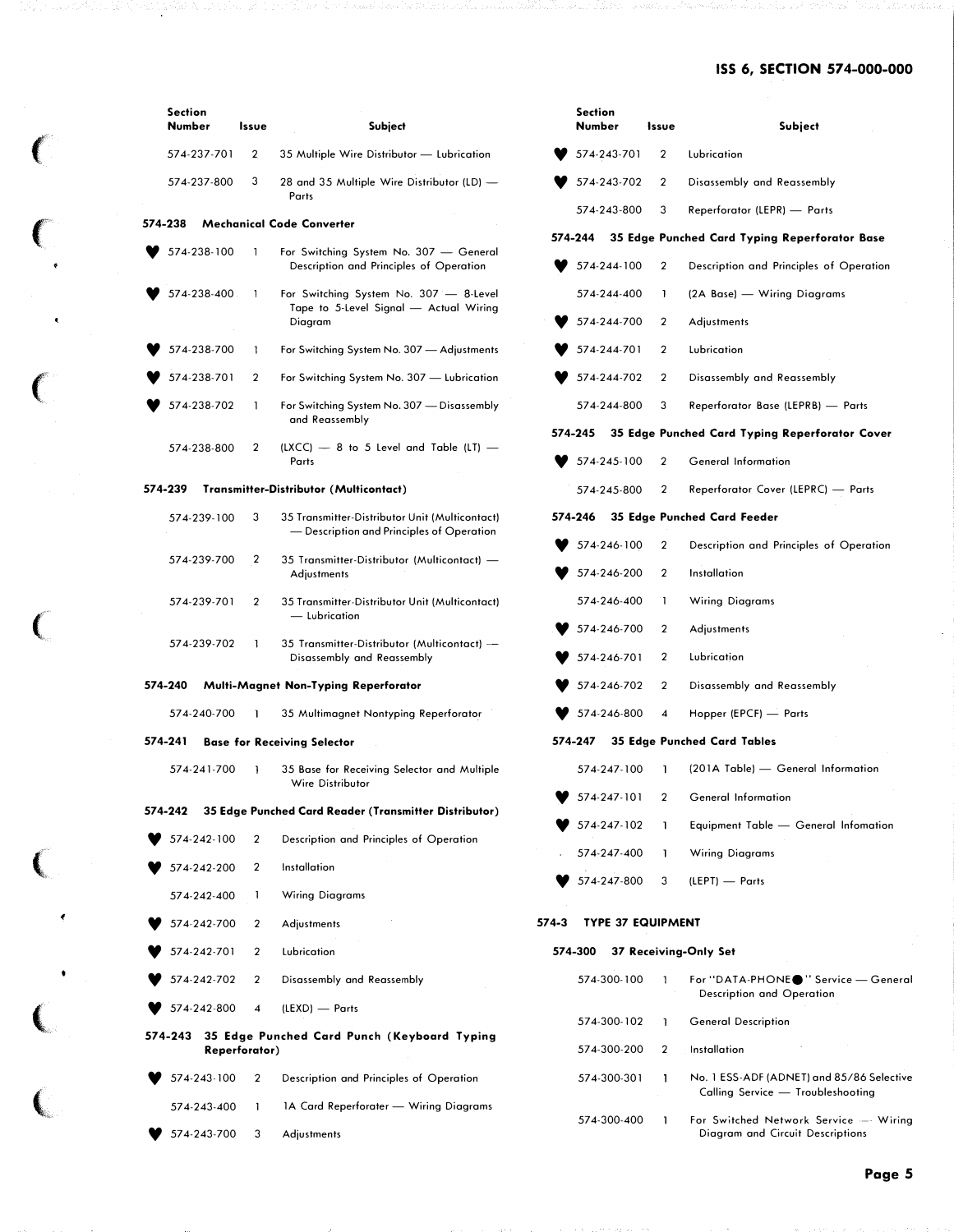# **ISS 6, SECTION 574-000-000**

|         | <b>Section</b><br>Number | Issue          | <b>Subject</b>                                                                              |       | <b>Section</b><br>Number   | Issue                   | Subject                                                                   |
|---------|--------------------------|----------------|---------------------------------------------------------------------------------------------|-------|----------------------------|-------------------------|---------------------------------------------------------------------------|
|         | 574-237-701              | 2              | 35 Multiple Wire Distributor - Lubrication                                                  |       | 574-243-701                | $\mathbf{2}$            | Lubrication                                                               |
|         | 574-237-800              | 3              | 28 and 35 Multiple Wire Distributor (LD) -<br>Parts                                         |       | 574-243-702                | 2                       | Disassembly and Reassembly                                                |
| 574-238 |                          |                | <b>Mechanical Code Converter</b>                                                            |       | 574-243-800                | 3                       | Reperforator (LEPR) - Parts                                               |
|         |                          |                |                                                                                             |       | 574-244                    |                         | 35 Edge Punched Card Typing Reperforator Base                             |
|         | 574-238-100              |                | For Switching System No. 307 - General<br>Description and Principles of Operation           |       | 574-244-100                | 2                       | Description and Principles of Operation                                   |
|         | 574-238-400              |                | For Switching System No. 307 - 8-Level<br>Tape to 5-Level Signal - Actual Wiring            |       | 574-244-400                | 1                       | (2A Base) — Wiring Diagrams                                               |
|         |                          |                | Diagram                                                                                     |       | 574-244-700                | $\overline{2}$          | Adjustments                                                               |
|         | 574-238-700              |                | For Switching System No. 307 - Adjustments                                                  |       | 574-244-701                | 2                       | Lubrication                                                               |
|         | 574-238-701              | 2              | For Switching System No. 307 - Lubrication                                                  |       | 574-244-702                | $\overline{2}$          | Disassembly and Reassembly                                                |
|         | 574-238-702              |                | For Switching System No. 307 - Disassembly<br>and Reassembly                                |       | 574-244-800                | 3                       | Reperforator Base (LEPRB) - Parts                                         |
|         | 574-238-800              | 2              | $(LXCC)$ – 8 to 5 Level and Table (LT) –                                                    |       | 574-245                    |                         | 35 Edge Punched Card Typing Reperforator Cover                            |
|         |                          |                | Parts                                                                                       |       | 574-245-100                | 2                       | <b>General Information</b>                                                |
| 574-239 |                          |                | <b>Transmitter-Distributor (Multicontact)</b>                                               |       | 574-245-800                | 2                       | Reperforator Cover (LEPRC) - Parts                                        |
|         | 574-239-100              | 3              | 35 Transmitter-Distributor Unit (Multicontact)<br>- Description and Principles of Operation |       | 574-246                    |                         | 35 Edge Punched Card Feeder                                               |
|         | 574-239-700              | 2              | 35 Transmitter-Distributor (Multicontact) —                                                 |       | 574-246-100                | 2                       | Description and Principles of Operation                                   |
|         |                          |                | Adjustments                                                                                 |       | 574-246-200                | $\overline{2}$          | Installation                                                              |
|         | 574-239-701              | $\overline{2}$ | 35 Transmitter-Distributor Unit (Multicontact)<br>- Lubrication                             |       | 574-246-400                | T                       | <b>Wiring Diagrams</b>                                                    |
|         | 574-239-702              |                | 35 Transmitter-Distributor (Multicontact) --                                                |       | 574-246-700                | 2                       | <b>Adjustments</b>                                                        |
|         |                          |                | Disassembly and Reassembly                                                                  |       | 574-246-701                | $\overline{2}$          | Lubrication                                                               |
| 574-240 |                          |                | Multi-Magnet Non-Typing Reperforator                                                        |       | 574-246-702                | 2                       | Disassembly and Reassembly                                                |
|         | 574-240-700              |                | 35 Multimagnet Nontyping Reperforator                                                       |       | 574-246-800                | $\overline{\mathbf{4}}$ | Hopper (EPCF) - Parts                                                     |
| 574-241 |                          |                | <b>Base for Receiving Selector</b>                                                          |       | 574-247                    |                         | <b>35 Edge Punched Card Tables</b>                                        |
|         | 574-241-700              |                | 35 Base for Receiving Selector and Multiple<br>Wire Distributor                             |       | 574-247-100                | ı                       | (201A Table) - General Information                                        |
| 574-242 |                          |                | 35 Edge Punched Card Reader (Transmitter Distributor)                                       |       | 574-247-101                | $\overline{2}$          | <b>General Information</b>                                                |
|         | 574-242-100              | 2              | Description and Principles of Operation                                                     |       | 574-247-102                | ı                       | Equipment Table - General Infomation                                      |
|         | 574-242-200              | 2              | Installation                                                                                |       | 574-247-400                | $\mathbf{I}$            | <b>Wiring Diagrams</b>                                                    |
|         | 574-242-400              | 1              | <b>Wiring Diagrams</b>                                                                      |       | 574-247-800                | 3                       | (LEPT) - Parts                                                            |
|         | 574-242-700              | 2              | Adjustments                                                                                 | 574-3 | <b>TYPE 37 EQUIPMENT</b>   |                         |                                                                           |
|         | 574-242-701              | 2              | Lubrication                                                                                 |       | 574-300                    |                         | 37 Receiving-Only Set                                                     |
|         | 574-242-702              | 2              | Disassembly and Reassembly                                                                  |       | 574-300-100                |                         | For "DATA-PHONE●" Service — General                                       |
|         | 574-242-800              | 4              | (LEXD) — Parts                                                                              |       |                            |                         | Description and Operation                                                 |
|         |                          | Reperforator)  | 574-243 35 Edge Punched Card Punch (Keyboard Typing                                         |       | 574-300-102<br>574-300-200 | 1<br>2                  | <b>General Description</b><br>Installation                                |
|         | 574-243-100              | 2              | Description and Principles of Operation                                                     |       | 574-300-301                | 1                       | No. 1 ESS-ADF (ADNET) and 85/86 Selective                                 |
|         | 574-243-400              | 1              | 1A Card Reperforater - Wiring Diagrams                                                      |       |                            |                         | Calling Service - Troubleshooting                                         |
|         | 574-243-700              | 3              | Adjustments                                                                                 |       | 574-300-400                | 1                       | For Switched Network Service - Wiring<br>Diagram and Circuit Descriptions |

 $\left($ 

 $\big($ 

 $\left(\begin{array}{c} 0 \\ 0 \end{array}\right)$ 

(

 $\big($ 

 $\left($ 

 $\overline{\mathbf{C}}$ 

{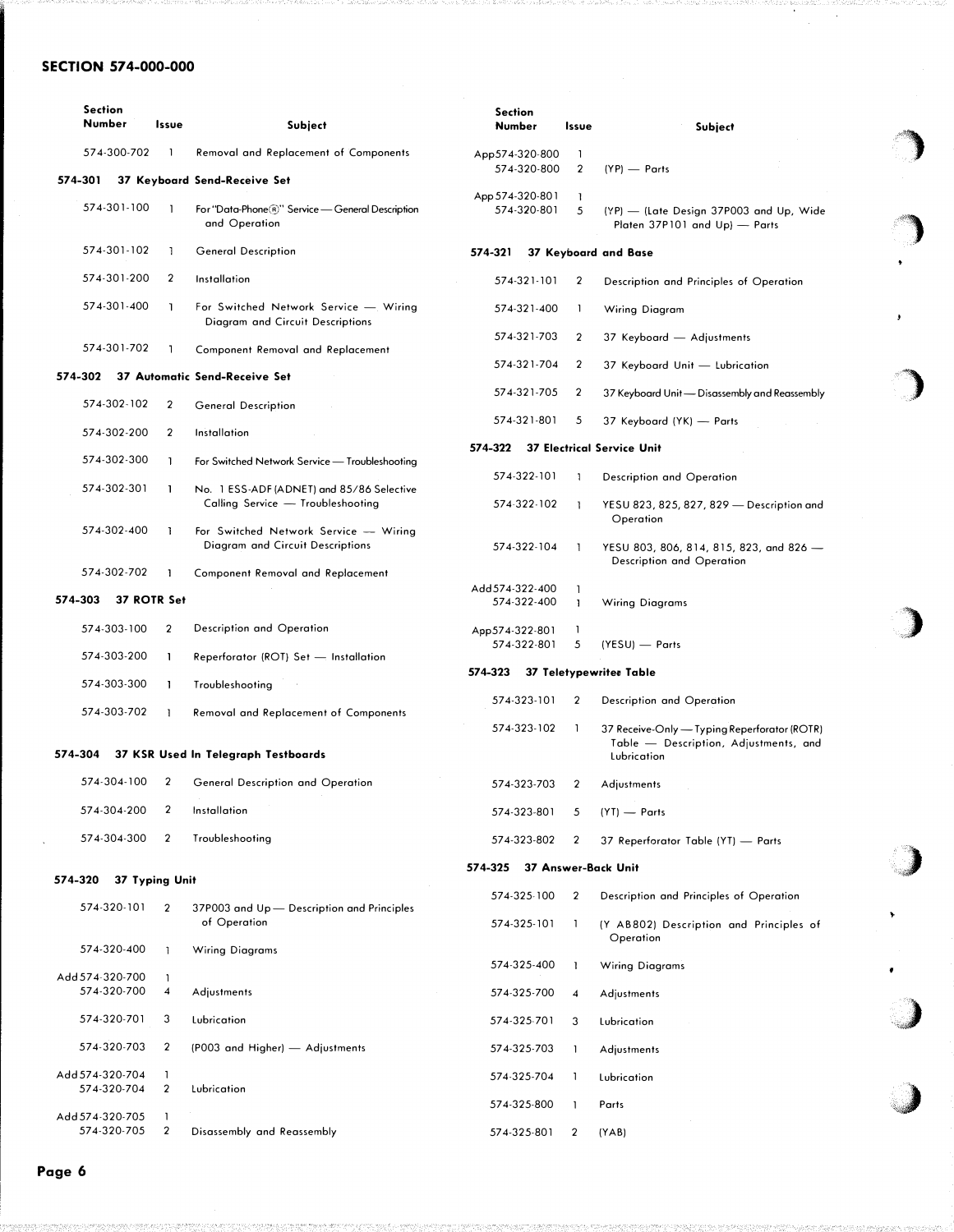# SECTION 574-000-000

|         | <b>Section</b><br>Number<br>Issue |                         | Subject                                                                        | <b>Section</b><br>Number       | Issue             | <b>Subject</b>                                                                                       |
|---------|-----------------------------------|-------------------------|--------------------------------------------------------------------------------|--------------------------------|-------------------|------------------------------------------------------------------------------------------------------|
|         | 574-300-702                       | -1                      | Removal and Replacement of Components                                          | App574-320-800                 | 1                 |                                                                                                      |
| 574-301 |                                   |                         | 37 Keyboard Send-Receive Set                                                   | 574-320-800                    | $\overline{2}$    | $(YP)$ - Parts                                                                                       |
|         | 574-301-100                       | ı                       | For "Data-Phone (R)" Service - General Description<br>and Operation            | App 574-320-801<br>574-320-801 | 1.<br>5           | (YP) - (Late Design 37P003 and Up, Wide<br>Platen 37P101 and Up) - Parts                             |
|         | 574-301-102                       | -1                      | <b>General Description</b>                                                     | 574-321                        |                   | 37 Keyboard and Base                                                                                 |
|         | 574-301-200                       | 2                       | Installation                                                                   | 574-321-101                    | $\overline{2}$    | Description and Principles of Operation                                                              |
|         | 574-301-400                       | J.                      | For Switched Network Service - Wiring<br>Diagram and Circuit Descriptions      | 574-321-400                    | 1                 | Wiring Diagram                                                                                       |
|         | 574-301-702                       | ı                       | Component Removal and Replacement                                              | 574-321-703                    | $\overline{2}$    | 37 Keyboard - Adjustments                                                                            |
| 574-302 |                                   |                         | 37 Automatic Send-Receive Set                                                  | 574-321-704                    | $\overline{2}$    | 37 Keyboard Unit - Lubrication                                                                       |
|         | 574-302-102                       | $\overline{\mathbf{2}}$ | <b>General Description</b>                                                     | 574-321-705                    | 2                 | 37 Keyboard Unit - Disassembly and Reassembly                                                        |
|         | 574-302-200                       | $\overline{2}$          | Installation                                                                   | 574-321-801                    | 5                 | 37 Keyboard (YK) - Parts                                                                             |
|         |                                   |                         |                                                                                | 574-322                        |                   | <b>37 Electrical Service Unit</b>                                                                    |
|         | 574-302-300                       | 1                       | For Switched Network Service - Troubleshooting                                 | 574-322-101                    | -1                | Description and Operation                                                                            |
|         | 574-302-301                       | J.                      | No. 1 ESS-ADF (ADNET) and 85/86 Selective<br>Calling Service - Troubleshooting | 574-322-102                    | -1                | YESU 823, 825, 827, 829 - Description and<br>Operation                                               |
|         | 574-302-400                       | T                       | For Switched Network Service - Wiring<br>Diagram and Circuit Descriptions      | 574-322-104                    | -1                | YESU 803, 806, 814, 815, 823, and 826 -<br>Description and Operation                                 |
|         | 574-302-702                       | -1                      | Component Removal and Replacement                                              |                                |                   |                                                                                                      |
| 574-303 | 37 ROTR Set                       |                         |                                                                                | Add 574-322-400<br>574-322-400 | L<br>$\mathbf{1}$ | <b>Wiring Diagrams</b>                                                                               |
|         | 574-303-100                       | 2                       | Description and Operation                                                      | App 574-322-801<br>574-322-801 | -1<br>5           | (YESU) — Parts                                                                                       |
|         | 574-303-200                       | 1                       | Reperforator (ROT) Set - Installation                                          |                                |                   |                                                                                                      |
|         | 574-303-300                       | $\mathbf{1}$            | Troubleshooting                                                                | 574-323                        |                   | 37 Teletypewriter Table                                                                              |
|         | 574-303-702                       | 1                       | <b>Removal and Replacement of Components</b>                                   | 574-323-101                    | 2                 | Description and Operation                                                                            |
| 574-304 |                                   |                         | 37 KSR Used In Telegraph Testboards                                            | 574-323-102                    | 1                 | 37 Receive-Only - Typing Reperforator (ROTR)<br>Table - Description, Adjustments, and<br>Lubrication |
|         | 574-304-100                       | 2                       | General Description and Operation                                              | 574-323-703                    | 2                 | Adjustments                                                                                          |
|         | 574-304-200                       | 2                       | Installation                                                                   | 574-323-801                    | 5                 | $(YT)$ - Parts                                                                                       |
|         | 574-304-300                       | 2                       | Troubleshooting                                                                | 574-323-802                    | 2                 | 37 Reperforator Table (YT) — Parts                                                                   |
|         |                                   |                         |                                                                                |                                |                   |                                                                                                      |
| 574-320 | 37 Typing Unit                    |                         |                                                                                | 574-325                        |                   | 37 Answer-Back Unit                                                                                  |
|         | 574-320-101                       | 2                       | 37P003 and Up - Description and Principles                                     | 574-325-100                    | 2                 | Description and Principles of Operation                                                              |
|         | 574-320-400                       | -1                      | of Operation<br>Wiring Diagrams                                                | 574-325-101                    | -1                | (Y AB802) Description and Principles of<br>Operation                                                 |
|         | Add 574-320-700                   | $\mathbf{1}$            |                                                                                | 574-325-400                    | -1                | <b>Wiring Diagrams</b>                                                                               |
|         | 574-320-700                       | 4                       | Adjustments                                                                    | 574-325-700                    | $\overline{4}$    | Adjustments                                                                                          |
|         | 574-320-701                       | 3                       | Lubrication                                                                    | 574-325-701                    | 3                 | Lubrication                                                                                          |
|         | 574-320-703                       | $\overline{c}$          | (P003 and Higher) - Adjustments                                                | 574-325-703                    | -1                | Adjustments                                                                                          |
|         | Add 574-320-704<br>574-320-704    | -1<br>$\overline{2}$    | Lubrication                                                                    | 574-325-704                    | -1                | Lubrication                                                                                          |
|         | Add 574-320-705                   | -1                      |                                                                                | 574-325-800                    | -1                | Parts                                                                                                |
|         | 574-320-705                       | $\overline{2}$          | Disassembly and Reassembly                                                     | 574-325-801                    | $\overline{2}$    | (YAB)                                                                                                |

)

'�)

)

)

 $\overline{\phantom{a}}$ 

 $\overline{\phantom{0}}$ 

'-"��' ) ...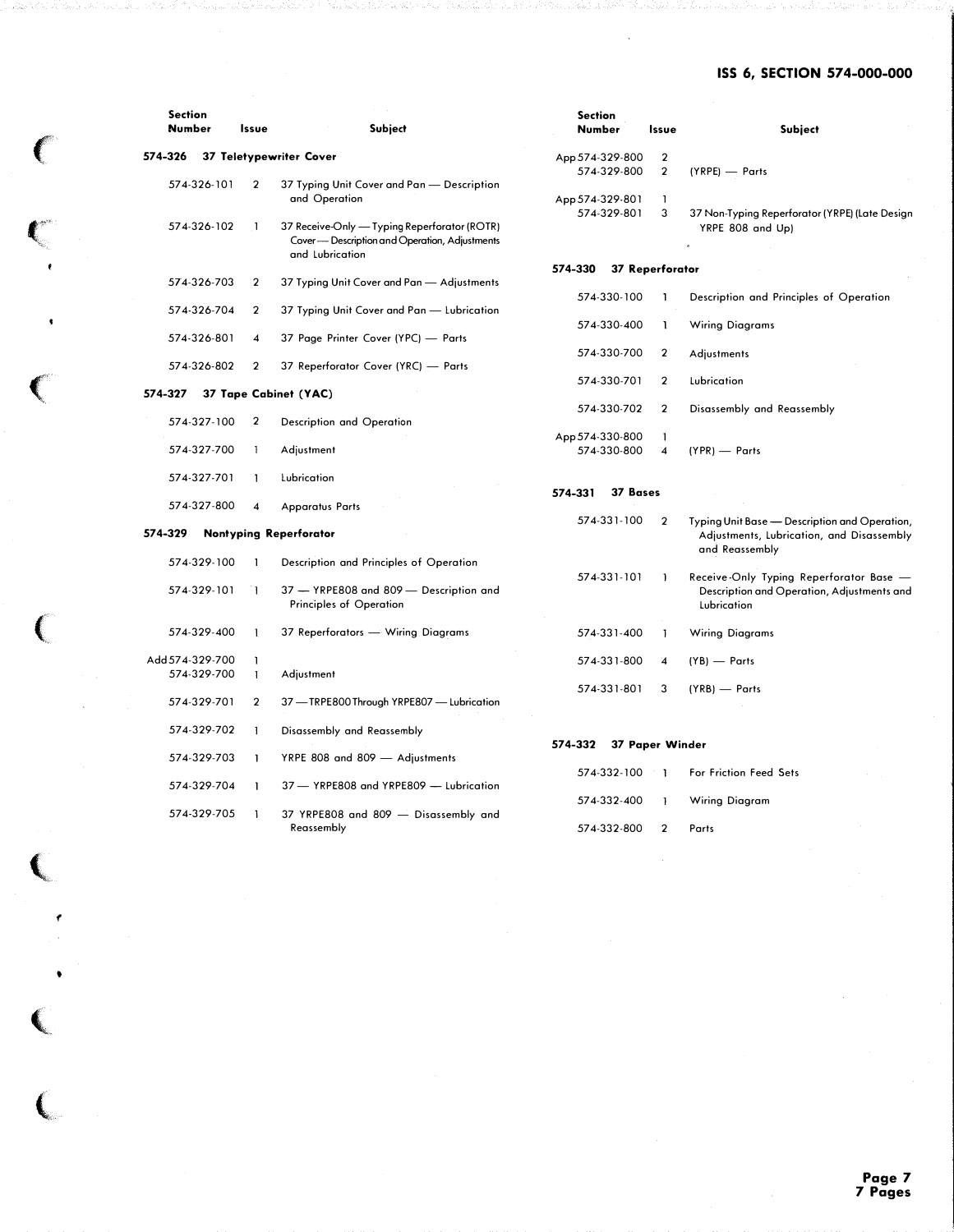## ISS 6, SECTION 574-000-000

| <b>Section</b>  |                         |                                                                                                                  | <b>Section</b>      |                         |                                                                                                      |  |  |
|-----------------|-------------------------|------------------------------------------------------------------------------------------------------------------|---------------------|-------------------------|------------------------------------------------------------------------------------------------------|--|--|
| Number          | Issue                   | Subject                                                                                                          | Number              | Issue                   | <b>Subject</b>                                                                                       |  |  |
| 574-326         |                         | 37 Teletypewriter Cover                                                                                          | App 574-329-800     | $\overline{\mathbf{2}}$ |                                                                                                      |  |  |
|                 |                         |                                                                                                                  | 574-329-800         | $\overline{2}$          | (YRPE) - Parts                                                                                       |  |  |
| 574-326-101     | $\mathbf{2}$            | 37 Typing Unit Cover and Pan - Description                                                                       |                     |                         |                                                                                                      |  |  |
|                 |                         | and Operation                                                                                                    | App 574-329-801     | 1                       |                                                                                                      |  |  |
|                 |                         |                                                                                                                  | 574-329-801         |                         |                                                                                                      |  |  |
| 574-326-102     | -1                      | 37 Receive-Only — Typing Reperforator (ROTR)<br>Cover- Description and Operation, Adjustments<br>and Lubrication |                     | 3                       | 37 Non-Typing Reperforator (YRPE) (Late Design<br>YRPE 808 and Up)                                   |  |  |
|                 |                         |                                                                                                                  | 574-330             |                         |                                                                                                      |  |  |
|                 |                         |                                                                                                                  |                     | <b>37 Reperforator</b>  |                                                                                                      |  |  |
| 574-326-703     | 2                       | 37 Typing Unit Cover and Pan — Adjustments                                                                       |                     |                         |                                                                                                      |  |  |
|                 |                         |                                                                                                                  | 574-330-100         |                         | Description and Principles of Operation                                                              |  |  |
| 574-326-704     | $\overline{2}$          | 37 Typing Unit Cover and Pan - Lubrication                                                                       |                     |                         |                                                                                                      |  |  |
|                 |                         |                                                                                                                  | 574-330-400         | <sup>1</sup>            | <b>Wiring Diagrams</b>                                                                               |  |  |
| 574-326-801     | $\overline{\mathbf{4}}$ | 37 Page Printer Cover (YPC) - Parts                                                                              |                     |                         |                                                                                                      |  |  |
|                 |                         |                                                                                                                  | 574-330-700         | $\overline{\mathbf{2}}$ | Adjustments                                                                                          |  |  |
| 574-326-802     | 2                       | 37 Reperforator Cover (YRC) - Parts                                                                              |                     |                         |                                                                                                      |  |  |
|                 |                         |                                                                                                                  |                     |                         |                                                                                                      |  |  |
|                 |                         |                                                                                                                  | 574-330-701         | $\overline{2}$          | Lubrication                                                                                          |  |  |
| 574-327         |                         | 37 Tape Cabinet (YAC)                                                                                            |                     |                         |                                                                                                      |  |  |
|                 |                         |                                                                                                                  | 574-330-702         | $\overline{2}$          | Disassembly and Reassembly                                                                           |  |  |
| 574-327-100     | $\mathbf{2}$            | Description and Operation                                                                                        |                     |                         |                                                                                                      |  |  |
|                 |                         |                                                                                                                  | App 574-330-800     | $\mathbf{1}$            |                                                                                                      |  |  |
| 574-327-700     | -1                      | Adjustment                                                                                                       | 574-330-800         | $\boldsymbol{4}$        | (YPR) - Parts                                                                                        |  |  |
|                 |                         |                                                                                                                  |                     |                         |                                                                                                      |  |  |
|                 |                         |                                                                                                                  |                     |                         |                                                                                                      |  |  |
| 574-327-701     | J.                      | Lubrication                                                                                                      |                     |                         |                                                                                                      |  |  |
|                 |                         |                                                                                                                  | 37 Bases<br>574-331 |                         |                                                                                                      |  |  |
| 574-327-800     | 4                       | <b>Apparatus Parts</b>                                                                                           |                     |                         |                                                                                                      |  |  |
|                 |                         |                                                                                                                  | 574-331-100         | $\overline{2}$          | Typing Unit Base - Description and Operation,                                                        |  |  |
| 574-329         |                         | <b>Nontyping Reperforator</b>                                                                                    |                     |                         | Adjustments, Lubrication, and Disassembly                                                            |  |  |
|                 |                         |                                                                                                                  |                     |                         |                                                                                                      |  |  |
|                 |                         |                                                                                                                  |                     |                         | and Reassembly                                                                                       |  |  |
| 574-329-100     | -1                      | Description and Principles of Operation                                                                          |                     |                         |                                                                                                      |  |  |
| 574-329-101     | ٦I.                     | 37 - YRPE808 and 809 - Description and<br>Principles of Operation                                                | 574-331-101         | J.                      | Receive-Only Typing Reperforator Base -<br>Description and Operation, Adjustments and<br>Lubrication |  |  |
|                 |                         |                                                                                                                  |                     |                         |                                                                                                      |  |  |
| 574-329-400     | -1                      | 37 Reperforators — Wiring Diagrams                                                                               | 574-331-400         | T                       | Wiring Diagrams                                                                                      |  |  |
|                 |                         |                                                                                                                  |                     |                         |                                                                                                      |  |  |
| Add 574-329-700 | -1                      |                                                                                                                  | 574-331-800         | $\overline{\mathbf{4}}$ | $(YB)$ — Parts                                                                                       |  |  |
| 574-329-700     | -1                      | Adjustment                                                                                                       |                     |                         |                                                                                                      |  |  |
|                 |                         |                                                                                                                  | 574-331-801         | 3                       | $(YRB)$ — Parts                                                                                      |  |  |
| 574-329-701     | $\overline{2}$          | 37 - TRPE800 Through YRPE807 - Lubrication                                                                       |                     |                         |                                                                                                      |  |  |
|                 |                         |                                                                                                                  |                     |                         |                                                                                                      |  |  |
|                 |                         |                                                                                                                  |                     |                         |                                                                                                      |  |  |
| 574-329-702     | -1                      | Disassembly and Reassembly                                                                                       |                     |                         |                                                                                                      |  |  |
|                 |                         |                                                                                                                  | 574-332             | 37 Paper Winder         |                                                                                                      |  |  |
| 574-329-703     | $\mathbf{1}$            | YRPE 808 and 809 - Adjustments                                                                                   |                     |                         |                                                                                                      |  |  |
|                 |                         |                                                                                                                  | 574-332-100         | -1                      | For Friction Feed Sets                                                                               |  |  |
| 574-329-704     | -1                      | 37 - YRPE808 and YRPE809 - Lubrication                                                                           |                     |                         |                                                                                                      |  |  |
|                 |                         |                                                                                                                  | 574-332-400         | -1                      | Wiring Diagram                                                                                       |  |  |
|                 |                         |                                                                                                                  |                     |                         |                                                                                                      |  |  |
| 574-329-705     | -1                      | 37 YRPE808 and 809 - Disassembly and                                                                             |                     |                         |                                                                                                      |  |  |
|                 |                         | Reassembly                                                                                                       | 574-332-800         | $\overline{2}$          | Parts                                                                                                |  |  |

 $\big($ 

 $\mathbf C$  "

 $\bullet$ 

 $\big($ 

 $\overline{C}$ 

,<br>Dan

(

•

 $\big($ 

 $\overline{C}$